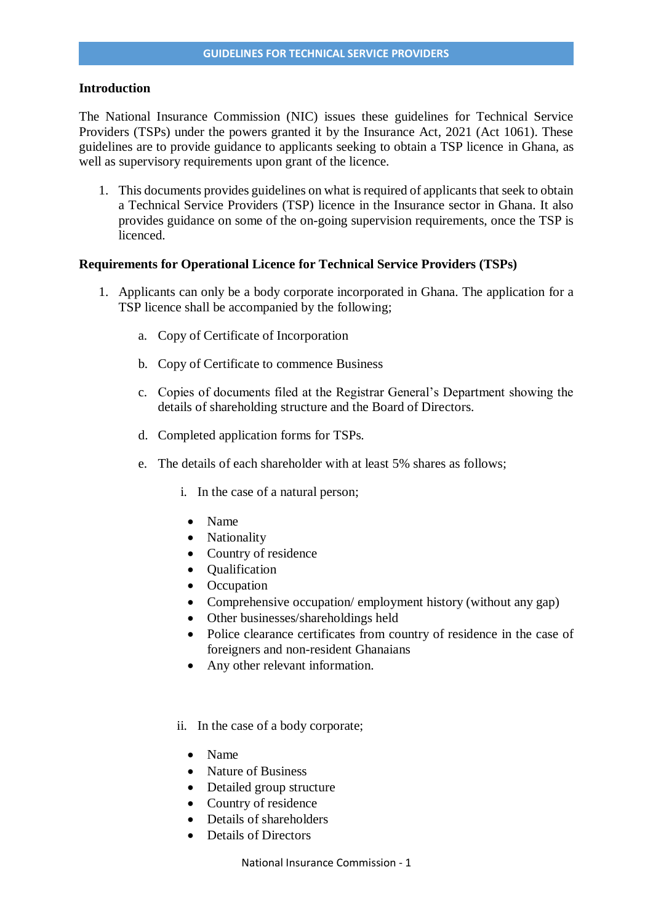## **Introduction**

The National Insurance Commission (NIC) issues these guidelines for Technical Service Providers (TSPs) under the powers granted it by the Insurance Act, 2021 (Act 1061). These guidelines are to provide guidance to applicants seeking to obtain a TSP licence in Ghana, as well as supervisory requirements upon grant of the licence.

1. This documents provides guidelines on what is required of applicants that seek to obtain a Technical Service Providers (TSP) licence in the Insurance sector in Ghana. It also provides guidance on some of the on-going supervision requirements, once the TSP is licenced.

## **Requirements for Operational Licence for Technical Service Providers (TSPs)**

- 1. Applicants can only be a body corporate incorporated in Ghana. The application for a TSP licence shall be accompanied by the following;
	- a. Copy of Certificate of Incorporation
	- b. Copy of Certificate to commence Business
	- c. Copies of documents filed at the Registrar General's Department showing the details of shareholding structure and the Board of Directors.
	- d. Completed application forms for TSPs.
	- e. The details of each shareholder with at least 5% shares as follows;
		- i. In the case of a natural person;
			- Name
			- Nationality
		- Country of residence
		- Oualification
		- Occupation
		- Comprehensive occupation/ employment history (without any gap)
		- Other businesses/shareholdings held
		- Police clearance certificates from country of residence in the case of foreigners and non-resident Ghanaians
		- Any other relevant information.
		- ii. In the case of a body corporate;
			- Name
			- Nature of Business
			- Detailed group structure
			- Country of residence
			- Details of shareholders
			- Details of Directors

National Insurance Commission - 1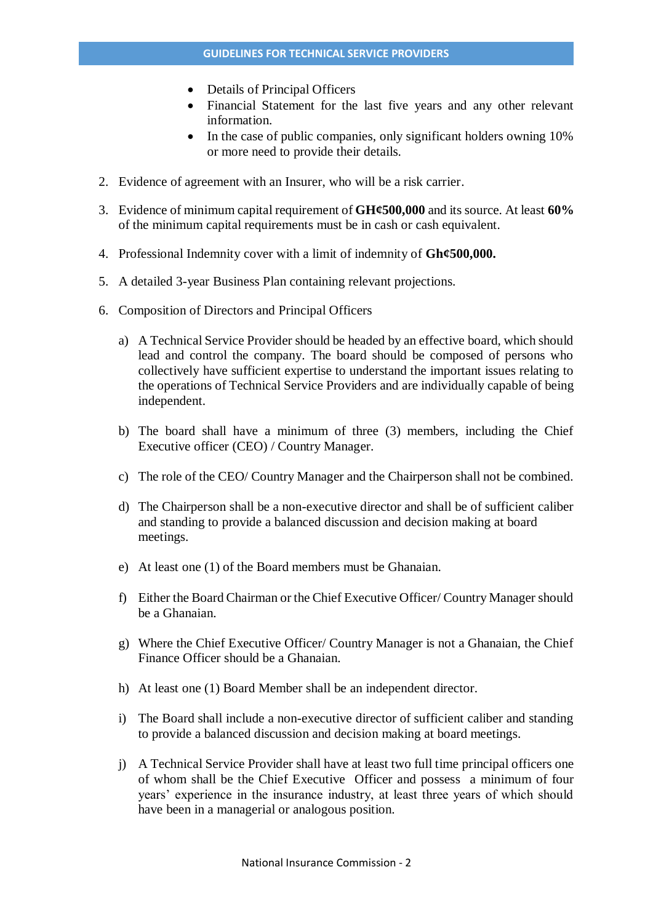- Details of Principal Officers
- Financial Statement for the last five years and any other relevant information.
- In the case of public companies, only significant holders owning 10% or more need to provide their details.
- 2. Evidence of agreement with an Insurer, who will be a risk carrier.
- 3. Evidence of minimum capital requirement of **GH¢500,000** and its source. At least **60%** of the minimum capital requirements must be in cash or cash equivalent.
- 4. Professional Indemnity cover with a limit of indemnity of **Gh¢500,000.**
- 5. A detailed 3-year Business Plan containing relevant projections.
- 6. Composition of Directors and Principal Officers
	- a) A Technical Service Provider should be headed by an effective board, which should lead and control the company. The board should be composed of persons who collectively have sufficient expertise to understand the important issues relating to the operations of Technical Service Providers and are individually capable of being independent.
	- b) The board shall have a minimum of three (3) members, including the Chief Executive officer (CEO) / Country Manager.
	- c) The role of the CEO/ Country Manager and the Chairperson shall not be combined.
	- d) The Chairperson shall be a non-executive director and shall be of sufficient caliber and standing to provide a balanced discussion and decision making at board meetings.
	- e) At least one (1) of the Board members must be Ghanaian.
	- f) Either the Board Chairman or the Chief Executive Officer/ Country Manager should be a Ghanaian.
	- g) Where the Chief Executive Officer/ Country Manager is not a Ghanaian, the Chief Finance Officer should be a Ghanaian.
	- h) At least one (1) Board Member shall be an independent director.
	- i) The Board shall include a non-executive director of sufficient caliber and standing to provide a balanced discussion and decision making at board meetings.
	- j) A Technical Service Provider shall have at least two full time principal officers one of whom shall be the Chief Executive Officer and possess a minimum of four years' experience in the insurance industry, at least three years of which should have been in a managerial or analogous position.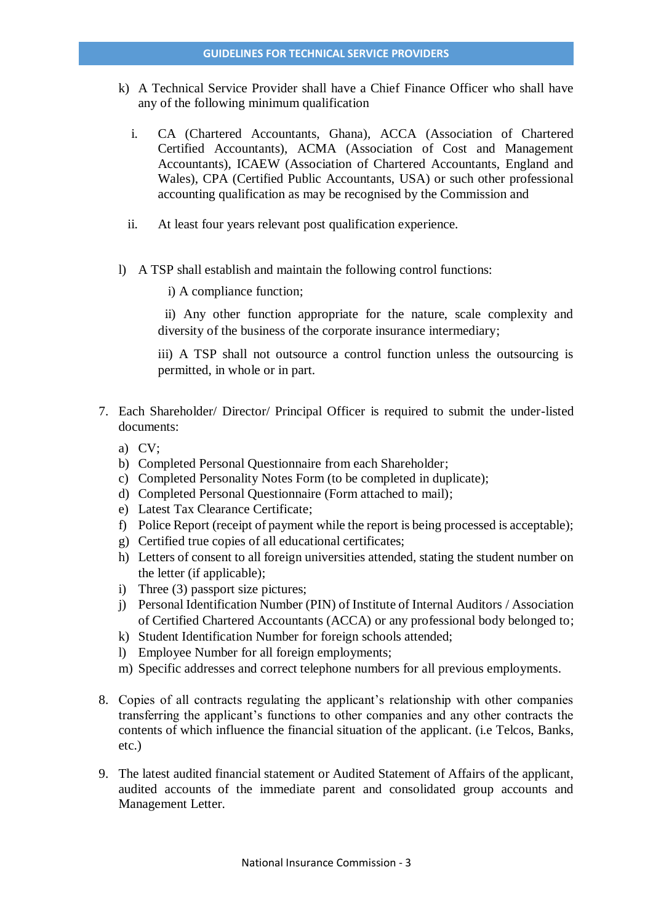- k) A Technical Service Provider shall have a Chief Finance Officer who shall have any of the following minimum qualification
	- i. CA (Chartered Accountants, Ghana), ACCA (Association of Chartered Certified Accountants), ACMA (Association of Cost and Management Accountants), ICAEW (Association of Chartered Accountants, England and Wales), CPA (Certified Public Accountants, USA) or such other professional accounting qualification as may be recognised by the Commission and
	- ii. At least four years relevant post qualification experience.
- l) A TSP shall establish and maintain the following control functions:
	- i) A compliance function;

 ii) Any other function appropriate for the nature, scale complexity and diversity of the business of the corporate insurance intermediary;

iii) A TSP shall not outsource a control function unless the outsourcing is permitted, in whole or in part.

- 7. Each Shareholder/ Director/ Principal Officer is required to submit the under-listed documents:
	- a) CV;
	- b) Completed Personal Questionnaire from each Shareholder;
	- c) Completed Personality Notes Form (to be completed in duplicate);
	- d) Completed Personal Questionnaire (Form attached to mail);
	- e) Latest Tax Clearance Certificate;
	- f) Police Report (receipt of payment while the report is being processed is acceptable);
	- g) Certified true copies of all educational certificates;
	- h) Letters of consent to all foreign universities attended, stating the student number on the letter (if applicable);
	- i) Three (3) passport size pictures;
	- j) Personal Identification Number (PIN) of Institute of Internal Auditors / Association of Certified Chartered Accountants (ACCA) or any professional body belonged to;
	- k) Student Identification Number for foreign schools attended;
	- l) Employee Number for all foreign employments;
	- m) Specific addresses and correct telephone numbers for all previous employments.
- 8. Copies of all contracts regulating the applicant's relationship with other companies transferring the applicant's functions to other companies and any other contracts the contents of which influence the financial situation of the applicant. (i.e Telcos, Banks, etc.)
- 9. The latest audited financial statement or Audited Statement of Affairs of the applicant, audited accounts of the immediate parent and consolidated group accounts and Management Letter.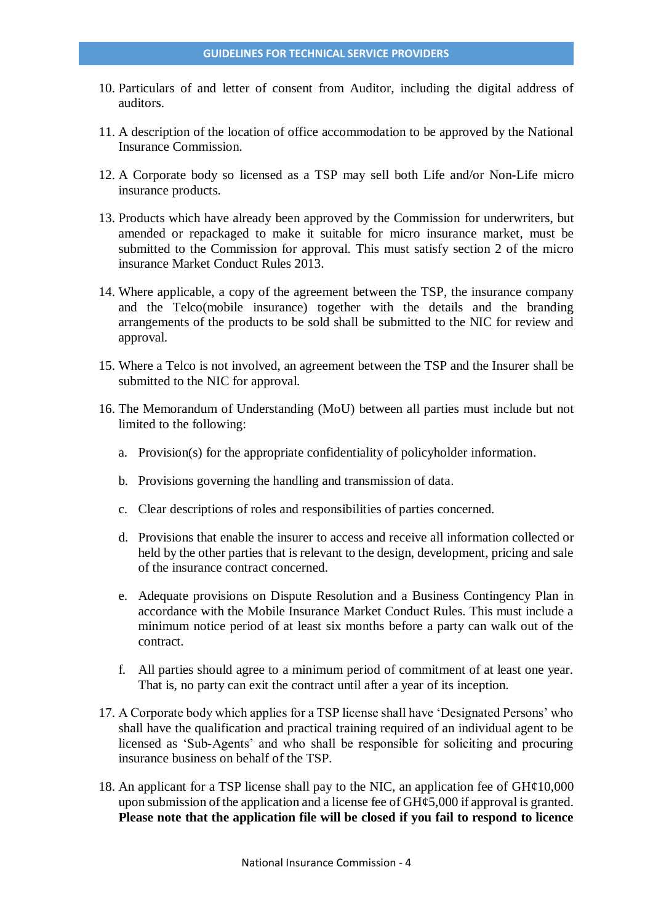- 10. Particulars of and letter of consent from Auditor, including the digital address of auditors.
- 11. A description of the location of office accommodation to be approved by the National Insurance Commission.
- 12. A Corporate body so licensed as a TSP may sell both Life and/or Non-Life micro insurance products.
- 13. Products which have already been approved by the Commission for underwriters, but amended or repackaged to make it suitable for micro insurance market, must be submitted to the Commission for approval. This must satisfy section 2 of the micro insurance Market Conduct Rules 2013.
- 14. Where applicable, a copy of the agreement between the TSP, the insurance company and the Telco(mobile insurance) together with the details and the branding arrangements of the products to be sold shall be submitted to the NIC for review and approval.
- 15. Where a Telco is not involved, an agreement between the TSP and the Insurer shall be submitted to the NIC for approval.
- 16. The Memorandum of Understanding (MoU) between all parties must include but not limited to the following:
	- a. Provision(s) for the appropriate confidentiality of policyholder information.
	- b. Provisions governing the handling and transmission of data.
	- c. Clear descriptions of roles and responsibilities of parties concerned.
	- d. Provisions that enable the insurer to access and receive all information collected or held by the other parties that is relevant to the design, development, pricing and sale of the insurance contract concerned.
	- e. Adequate provisions on Dispute Resolution and a Business Contingency Plan in accordance with the Mobile Insurance Market Conduct Rules. This must include a minimum notice period of at least six months before a party can walk out of the contract.
	- f. All parties should agree to a minimum period of commitment of at least one year. That is, no party can exit the contract until after a year of its inception.
- 17. A Corporate body which applies for a TSP license shall have 'Designated Persons' who shall have the qualification and practical training required of an individual agent to be licensed as 'Sub-Agents' and who shall be responsible for soliciting and procuring insurance business on behalf of the TSP.
- 18. An applicant for a TSP license shall pay to the NIC, an application fee of  $GH¢10,000$ upon submission of the application and a license fee of  $GH\epsilon 5,000$  if approval is granted. **Please note that the application file will be closed if you fail to respond to licence**